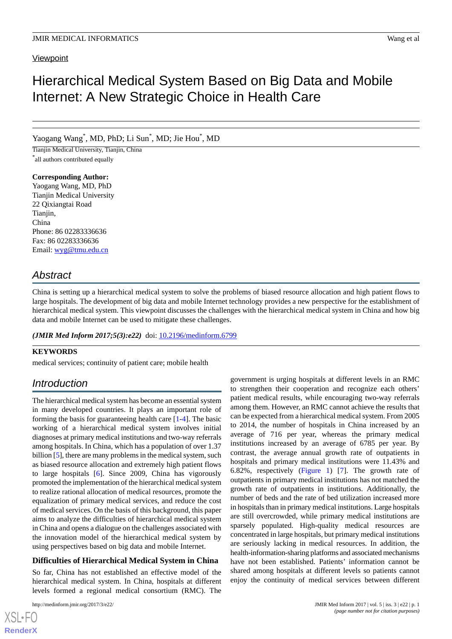# **Viewpoint**

# Hierarchical Medical System Based on Big Data and Mobile Internet: A New Strategic Choice in Health Care

Yaogang Wang\* , MD, PhD; Li Sun\* , MD; Jie Hou\* , MD

Tianjin Medical University, Tianjin, China \* all authors contributed equally

**Corresponding Author:**

Yaogang Wang, MD, PhD Tianjin Medical University 22 Qixiangtai Road Tianjin, China Phone: 86 02283336636 Fax: 86 02283336636 Email: [wyg@tmu.edu.cn](mailto:wyg@tmu.edu.cn)

# *Abstract*

China is setting up a hierarchical medical system to solve the problems of biased resource allocation and high patient flows to large hospitals. The development of big data and mobile Internet technology provides a new perspective for the establishment of hierarchical medical system. This viewpoint discusses the challenges with the hierarchical medical system in China and how big data and mobile Internet can be used to mitigate these challenges.

(JMIR Med Inform 2017;5(3):e22) doi: [10.2196/medinform.6799](http://dx.doi.org/10.2196/medinform.6799)

### **KEYWORDS**

medical services; continuity of patient care; mobile health

# *Introduction*

The hierarchical medical system has become an essential system in many developed countries. It plays an important role of forming the basis for guaranteeing health care [[1-](#page-6-0)[4\]](#page-6-1). The basic working of a hierarchical medical system involves initial diagnoses at primary medical institutions and two-way referrals among hospitals. In China, which has a population of over 1.37 billion [[5](#page-6-2)], there are many problems in the medical system, such as biased resource allocation and extremely high patient flows to large hospitals [[6\]](#page-6-3). Since 2009, China has vigorously promoted the implementation of the hierarchical medical system to realize rational allocation of medical resources, promote the equalization of primary medical services, and reduce the cost of medical services. On the basis of this background, this paper aims to analyze the difficulties of hierarchical medical system in China and opens a dialogue on the challenges associated with the innovation model of the hierarchical medical system by using perspectives based on big data and mobile Internet.

### **Difficulties of Hierarchical Medical System in China**

So far, China has not established an effective model of the hierarchical medical system. In China, hospitals at different levels formed a regional medical consortium (RMC). The

[XSL](http://www.w3.org/Style/XSL)•FO **[RenderX](http://www.renderx.com/)**

government is urging hospitals at different levels in an RMC to strengthen their cooperation and recognize each others' patient medical results, while encouraging two-way referrals among them. However, an RMC cannot achieve the results that can be expected from a hierarchical medical system. From 2005 to 2014, the number of hospitals in China increased by an average of 716 per year, whereas the primary medical institutions increased by an average of 6785 per year. By contrast, the average annual growth rate of outpatients in hospitals and primary medical institutions were 11.43% and 6.82%, respectively ([Figure 1\)](#page-2-0) [[7\]](#page-6-4). The growth rate of outpatients in primary medical institutions has not matched the growth rate of outpatients in institutions. Additionally, the number of beds and the rate of bed utilization increased more in hospitals than in primary medical institutions. Large hospitals are still overcrowded, while primary medical institutions are sparsely populated. High-quality medical resources are concentrated in large hospitals, but primary medical institutions are seriously lacking in medical resources. In addition, the health-information-sharing platforms and associated mechanisms have not been established. Patients' information cannot be shared among hospitals at different levels so patients cannot enjoy the continuity of medical services between different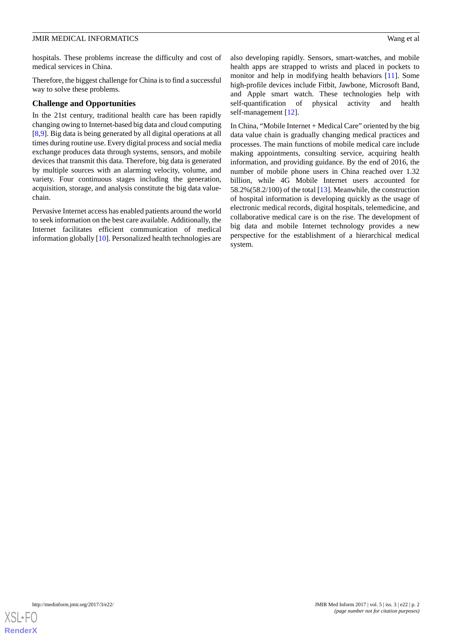hospitals. These problems increase the difficulty and cost of medical services in China.

Therefore, the biggest challenge for China is to find a successful way to solve these problems.

#### **Challenge and Opportunities**

In the 21st century, traditional health care has been rapidly changing owing to Internet-based big data and cloud computing [[8](#page-6-5)[,9](#page-6-6)]. Big data is being generated by all digital operations at all times during routine use. Every digital process and social media exchange produces data through systems, sensors, and mobile devices that transmit this data. Therefore, big data is generated by multiple sources with an alarming velocity, volume, and variety. Four continuous stages including the generation, acquisition, storage, and analysis constitute the big data valuechain.

Pervasive Internet access has enabled patients around the world to seek information on the best care available. Additionally, the Internet facilitates efficient communication of medical information globally [[10\]](#page-6-7). Personalized health technologies are

also developing rapidly. Sensors, smart-watches, and mobile health apps are strapped to wrists and placed in pockets to monitor and help in modifying health behaviors [\[11](#page-6-8)]. Some high-profile devices include Fitbit, Jawbone, Microsoft Band, and Apple smart watch. These technologies help with self-quantification of physical activity and health self-management [\[12](#page-6-9)].

In China, "Mobile Internet + Medical Care" oriented by the big data value chain is gradually changing medical practices and processes. The main functions of mobile medical care include making appointments, consulting service, acquiring health information, and providing guidance. By the end of 2016, the number of mobile phone users in China reached over 1.32 billion, while 4G Mobile Internet users accounted for 58.2%(58.2/100) of the total  $[13]$  $[13]$ . Meanwhile, the construction of hospital information is developing quickly as the usage of electronic medical records, digital hospitals, telemedicine, and collaborative medical care is on the rise. The development of big data and mobile Internet technology provides a new perspective for the establishment of a hierarchical medical system.

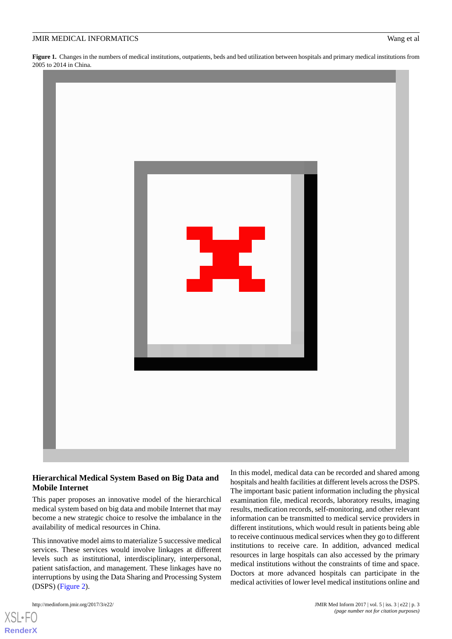<span id="page-2-0"></span>**Figure 1.** Changes in the numbers of medical institutions, outpatients, beds and bed utilization between hospitals and primary medical institutions from 2005 to 2014 in China.



#### **Hierarchical Medical System Based on Big Data and Mobile Internet**

This paper proposes an innovative model of the hierarchical medical system based on big data and mobile Internet that may become a new strategic choice to resolve the imbalance in the availability of medical resources in China.

This innovative model aims to materialize 5 successive medical services. These services would involve linkages at different levels such as institutional, interdisciplinary, interpersonal, patient satisfaction, and management. These linkages have no interruptions by using the Data Sharing and Processing System (DSPS) ([Figure 2](#page-3-0)).

[XSL](http://www.w3.org/Style/XSL)•FO **[RenderX](http://www.renderx.com/)**

In this model, medical data can be recorded and shared among hospitals and health facilities at different levels across the DSPS. The important basic patient information including the physical examination file, medical records, laboratory results, imaging results, medication records, self-monitoring, and other relevant information can be transmitted to medical service providers in different institutions, which would result in patients being able to receive continuous medical services when they go to different institutions to receive care. In addition, advanced medical resources in large hospitals can also accessed by the primary medical institutions without the constraints of time and space. Doctors at more advanced hospitals can participate in the medical activities of lower level medical institutions online and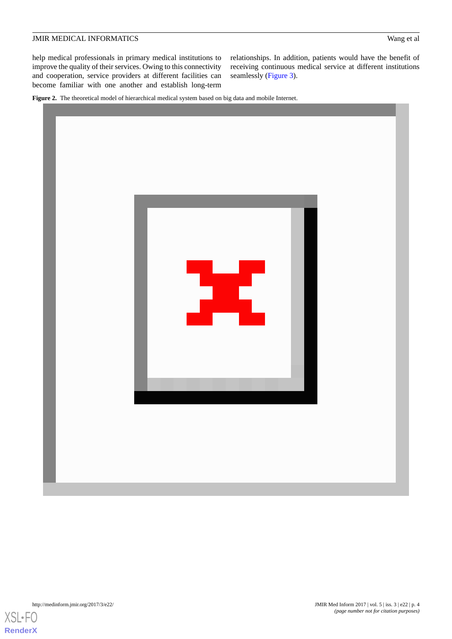help medical professionals in primary medical institutions to improve the quality of their services. Owing to this connectivity and cooperation, service providers at different facilities can become familiar with one another and establish long-term

relationships. In addition, patients would have the benefit of receiving continuous medical service at different institutions seamlessly ([Figure 3](#page-4-0)).

<span id="page-3-0"></span>**Figure 2.** The theoretical model of hierarchical medical system based on big data and mobile Internet.



[XSL](http://www.w3.org/Style/XSL)•FO **[RenderX](http://www.renderx.com/)**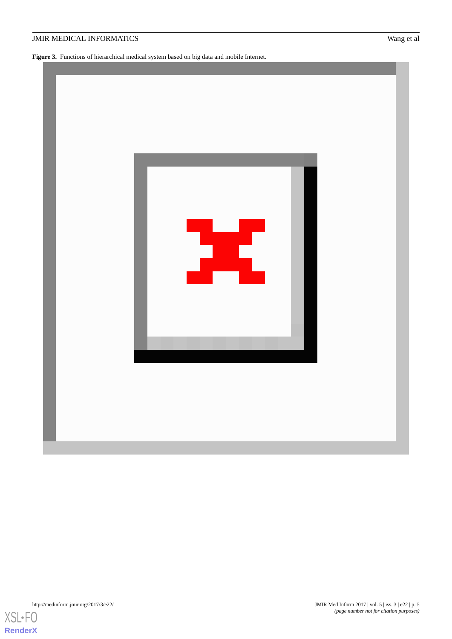<span id="page-4-0"></span>Figure 3. Functions of hierarchical medical system based on big data and mobile Internet.





**[RenderX](http://www.renderx.com/)**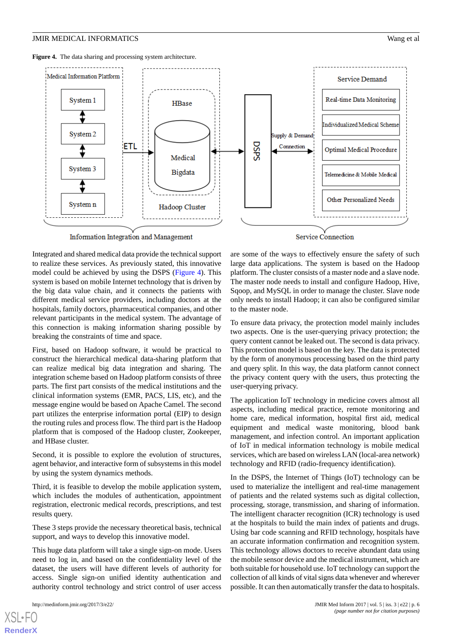<span id="page-5-0"></span>**Figure 4.** The data sharing and processing system architecture.



Integrated and shared medical data provide the technical support to realize these services. As previously stated, this innovative model could be achieved by using the DSPS ([Figure 4\)](#page-5-0). This system is based on mobile Internet technology that is driven by the big data value chain, and it connects the patients with different medical service providers, including doctors at the hospitals, family doctors, pharmaceutical companies, and other relevant participants in the medical system. The advantage of this connection is making information sharing possible by breaking the constraints of time and space.

First, based on Hadoop software, it would be practical to construct the hierarchical medical data-sharing platform that can realize medical big data integration and sharing. The integration scheme based on Hadoop platform consists of three parts. The first part consists of the medical institutions and the clinical information systems (EMR, PACS, LIS, etc), and the message engine would be based on Apache Camel. The second part utilizes the enterprise information portal (EIP) to design the routing rules and process flow. The third part is the Hadoop platform that is composed of the Hadoop cluster, Zookeeper, and HBase cluster.

Second, it is possible to explore the evolution of structures, agent behavior, and interactive form of subsystems in this model by using the system dynamics methods.

Third, it is feasible to develop the mobile application system, which includes the modules of authentication, appointment registration, electronic medical records, prescriptions, and test results query.

These 3 steps provide the necessary theoretical basis, technical support, and ways to develop this innovative model.

This huge data platform will take a single sign-on mode. Users need to log in, and based on the confidentiality level of the dataset, the users will have different levels of authority for access. Single sign-on unified identity authentication and authority control technology and strict control of user access

[XSL](http://www.w3.org/Style/XSL)•FO **[RenderX](http://www.renderx.com/)**

are some of the ways to effectively ensure the safety of such large data applications. The system is based on the Hadoop platform. The cluster consists of a master node and a slave node. The master node needs to install and configure Hadoop, Hive, Sqoop, and MySQL in order to manage the cluster. Slave node only needs to install Hadoop; it can also be configured similar to the master node.

To ensure data privacy, the protection model mainly includes two aspects. One is the user-querying privacy protection; the query content cannot be leaked out. The second is data privacy. This protection model is based on the key. The data is protected by the form of anonymous processing based on the third party and query split. In this way, the data platform cannot connect the privacy content query with the users, thus protecting the user-querying privacy.

The application IoT technology in medicine covers almost all aspects, including medical practice, remote monitoring and home care, medical information, hospital first aid, medical equipment and medical waste monitoring, blood bank management, and infection control. An important application of IoT in medical information technology is mobile medical services, which are based on wireless LAN (local-area network) technology and RFID (radio-frequency identification).

In the DSPS, the Internet of Things (IoT) technology can be used to materialize the intelligent and real-time management of patients and the related systems such as digital collection, processing, storage, transmission, and sharing of information. The intelligent character recognition (ICR) technology is used at the hospitals to build the main index of patients and drugs. Using bar code scanning and RFID technology, hospitals have an accurate information confirmation and recognition system. This technology allows doctors to receive abundant data using the mobile sensor device and the medical instrument, which are both suitable for household use. IoT technology can support the collection of all kinds of vital signs data whenever and wherever possible. It can then automatically transfer the data to hospitals.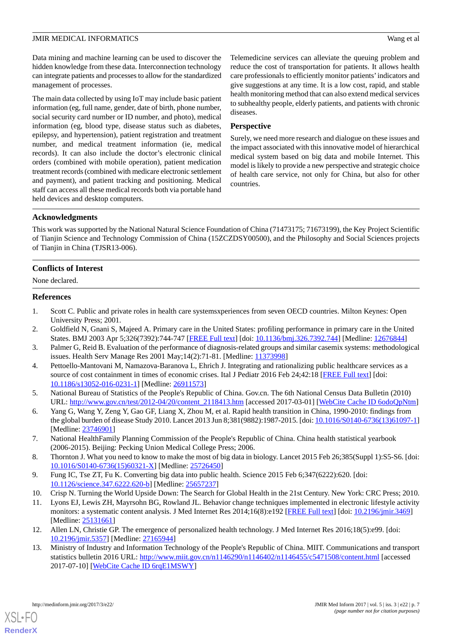Data mining and machine learning can be used to discover the hidden knowledge from these data. Interconnection technology can integrate patients and processes to allow for the standardized management of processes.

The main data collected by using IoT may include basic patient information (eg, full name, gender, date of birth, phone number, social security card number or ID number, and photo), medical information (eg, blood type, disease status such as diabetes, epilepsy, and hypertension), patient registration and treatment number, and medical treatment information (ie, medical records). It can also include the doctor's electronic clinical orders (combined with mobile operation), patient medication treatment records (combined with medicare electronic settlement and payment), and patient tracking and positioning. Medical staff can access all these medical records both via portable hand held devices and desktop computers.

Telemedicine services can alleviate the queuing problem and reduce the cost of transportation for patients. It allows health care professionals to efficiently monitor patients'indicators and give suggestions at any time. It is a low cost, rapid, and stable health monitoring method that can also extend medical services to subhealthy people, elderly patients, and patients with chronic diseases.

## **Perspective**

Surely, we need more research and dialogue on these issues and the impact associated with this innovative model of hierarchical medical system based on big data and mobile Internet. This model is likely to provide a new perspective and strategic choice of health care service, not only for China, but also for other countries.

# **Acknowledgments**

This work was supported by the National Natural Science Foundation of China (71473175; 71673199), the Key Project Scientific of Tianjin Science and Technology Commission of China (15ZCZDSY00500), and the Philosophy and Social Sciences projects of Tianjin in China (TJSR13-006).

# **Conflicts of Interest**

<span id="page-6-0"></span>None declared.

### **References**

- 1. Scott C. Public and private roles in health care systemsxperiences from seven OECD countries. Milton Keynes: Open University Press; 2001.
- <span id="page-6-1"></span>2. Goldfield N, Gnani S, Majeed A. Primary care in the United States: profiling performance in primary care in the United States. BMJ 2003 Apr 5;326(7392):744-747 [\[FREE Full text\]](http://europepmc.org/abstract/MED/12676844) [doi: [10.1136/bmj.326.7392.744](http://dx.doi.org/10.1136/bmj.326.7392.744)] [Medline: [12676844](http://www.ncbi.nlm.nih.gov/entrez/query.fcgi?cmd=Retrieve&db=PubMed&list_uids=12676844&dopt=Abstract)]
- <span id="page-6-2"></span>3. Palmer G, Reid B. Evaluation of the performance of diagnosis-related groups and similar casemix systems: methodological issues. Health Serv Manage Res 2001 May;14(2):71-81. [Medline: [11373998\]](http://www.ncbi.nlm.nih.gov/entrez/query.fcgi?cmd=Retrieve&db=PubMed&list_uids=11373998&dopt=Abstract)
- <span id="page-6-3"></span>4. Pettoello-Mantovani M, Namazova-Baranova L, Ehrich J. Integrating and rationalizing public healthcare services as a source of cost containment in times of economic crises. Ital J Pediatr 2016 Feb 24;42:18 [\[FREE Full text\]](http://ijponline.biomedcentral.com/articles/10.1186/s13052-016-0231-1) [doi: [10.1186/s13052-016-0231-1\]](http://dx.doi.org/10.1186/s13052-016-0231-1) [Medline: [26911573](http://www.ncbi.nlm.nih.gov/entrez/query.fcgi?cmd=Retrieve&db=PubMed&list_uids=26911573&dopt=Abstract)]
- <span id="page-6-4"></span>5. National Bureau of Statistics of the People's Republic of China. Gov.cn. The 6th National Census Data Bulletin (2010) URL: [http://www.gov.cn/test/2012-04/20/content\\_2118413.htm](http://www.gov.cn/test/2012-04/20/content_2118413.htm) [accessed 2017-03-01] [\[WebCite Cache ID 6odoQpNtm](http://www.webcitation.org/

                                6odoQpNtm)]
- <span id="page-6-5"></span>6. Yang G, Wang Y, Zeng Y, Gao GF, Liang X, Zhou M, et al. Rapid health transition in China, 1990-2010: findings from the global burden of disease Study 2010. Lancet 2013 Jun 8;381(9882):1987-2015. [doi: [10.1016/S0140-6736\(13\)61097-1](http://dx.doi.org/10.1016/S0140-6736(13)61097-1)] [Medline: [23746901](http://www.ncbi.nlm.nih.gov/entrez/query.fcgi?cmd=Retrieve&db=PubMed&list_uids=23746901&dopt=Abstract)]
- <span id="page-6-7"></span><span id="page-6-6"></span>7. National HealthFamily Planning Commission of the People's Republic of China. China health statistical yearbook (2006-2015). Beijing: Pecking Union Medical College Press; 2006.
- <span id="page-6-8"></span>8. Thornton J. What you need to know to make the most of big data in biology. Lancet 2015 Feb 26;385(Suppl 1):S5-S6. [doi: [10.1016/S0140-6736\(15\)60321-X\]](http://dx.doi.org/10.1016/S0140-6736(15)60321-X) [Medline: [25726450\]](http://www.ncbi.nlm.nih.gov/entrez/query.fcgi?cmd=Retrieve&db=PubMed&list_uids=25726450&dopt=Abstract)
- <span id="page-6-9"></span>9. Fung IC, Tse ZT, Fu K. Converting big data into public health. Science 2015 Feb 6;347(6222):620. [doi: [10.1126/science.347.6222.620-b](http://dx.doi.org/10.1126/science.347.6222.620-b)] [Medline: [25657237\]](http://www.ncbi.nlm.nih.gov/entrez/query.fcgi?cmd=Retrieve&db=PubMed&list_uids=25657237&dopt=Abstract)
- <span id="page-6-10"></span>10. Crisp N. Turning the World Upside Down: The Search for Global Health in the 21st Century. New York: CRC Press; 2010.
- 11. Lyons EJ, Lewis ZH, Mayrsohn BG, Rowland JL. Behavior change techniques implemented in electronic lifestyle activity monitors: a systematic content analysis. J Med Internet Res 2014;16(8):e192 [[FREE Full text](http://www.jmir.org/2014/8/e192/)] [doi: [10.2196/jmir.3469](http://dx.doi.org/10.2196/jmir.3469)] [Medline: [25131661](http://www.ncbi.nlm.nih.gov/entrez/query.fcgi?cmd=Retrieve&db=PubMed&list_uids=25131661&dopt=Abstract)]
- 12. Allen LN, Christie GP. The emergence of personalized health technology. J Med Internet Res 2016;18(5):e99. [doi: [10.2196/jmir.5357](http://dx.doi.org/10.2196/jmir.5357)] [Medline: [27165944](http://www.ncbi.nlm.nih.gov/entrez/query.fcgi?cmd=Retrieve&db=PubMed&list_uids=27165944&dopt=Abstract)]
- 13. Ministry of Industry and Information Technology of the People's Republic of China. MIIT. Communications and transport statistics bulletin 2016 URL:<http://www.miit.gov.cn/n1146290/n1146402/n1146455/c5471508/content.html> [accessed 2017-07-10] [\[WebCite Cache ID 6rqE1MSWY\]](http://www.webcitation.org/

                                6rqE1MSWY)

[XSL](http://www.w3.org/Style/XSL)•FO **[RenderX](http://www.renderx.com/)**